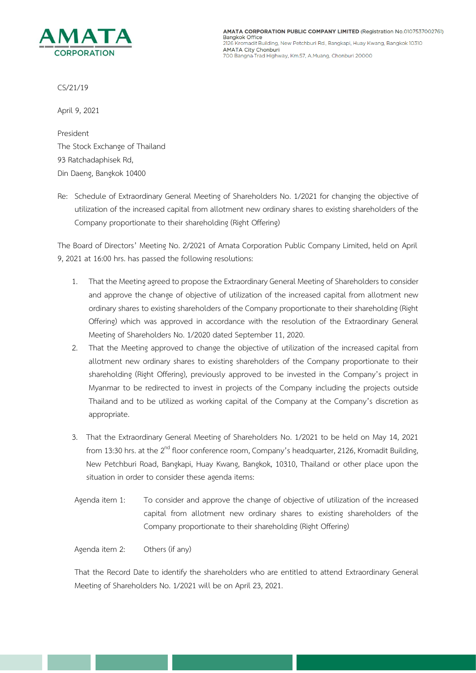

CS/21/19

April 9, 2021

President The Stock Exchange of Thailand 93 Ratchadaphisek Rd, Din Daeng, Bangkok 10400

Re: Schedule of Extraordinary General Meeting of Shareholders No. 1/2021 for changing the objective of utilization of the increased capital from allotment new ordinary shares to existing shareholders of the Company proportionate to their shareholding (Right Offering)

The Board of Directors' Meeting No. 2/2021 of Amata Corporation Public Company Limited, held on April 9, 2021 at 16:00 hrs. has passed the following resolutions:

- 1. That the Meeting agreed to propose the Extraordinary General Meeting of Shareholders toconsider and approve the change of objective of utilization of the increased capital from allotment new ordinary shares to existing shareholders of the Company proportionate to their shareholding (Right Offering) which was approved in accordance with the resolution of the Extraordinary General Meeting of Shareholders No. 1/2020 dated September 11, 2020.
- 2. That the Meeting approved to change the objective of utilization of the increased capital from allotment new ordinary shares to existing shareholders of the Company proportionate to their shareholding (Right Offering), previously approved to be invested in the Company's project in Myanmar to be redirected to invest in projects of the Company including the projects outside Thailand and to be utilized as working capital of the Company at the Company's discretion as appropriate.
- 3. That the Extraordinary General Meeting of Shareholders No. 1/2021 to be held on May 14, 2021 from 13:30 hrs. at the 2<sup>nd</sup> floor conference room, Company's headquarter, 2126, Kromadit Building, New Petchburi Road, Bangkapi, Huay Kwang, Bangkok, 10310, Thailand or other place upon the situation in order to consider these agenda items:
- Agenda item 1: To consider and approve the change of objective of utilization of the increased capital from allotment new ordinary shares to existing shareholders of the Company proportionate to their shareholding (Right Offering)

Agenda item 2: Others (if any)

That the Record Date to identify the shareholders who are entitled to attend Extraordinary General Meeting of Shareholders No. 1/2021 will be on April 23, 2021.